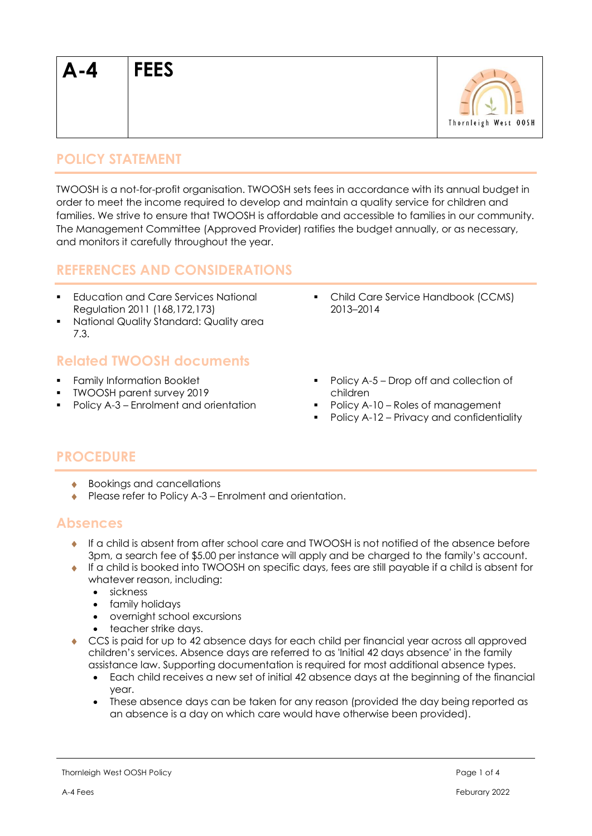

## **POLICY STATEMENT**

TWOOSH is a not-for-profit organisation. TWOOSH sets fees in accordance with its annual budget in order to meet the income required to develop and maintain a quality service for children and families. We strive to ensure that TWOOSH is affordable and accessible to families in our community. The Management Committee (Approved Provider) ratifies the budget annually, or as necessary, and monitors it carefully throughout the year.

### **REFERENCES AND CONSIDERATIONS**

- Education and Care Services National Regulation 2011 (168,172,173)
- National Quality Standard: Quality area 7.3.

## **Related TWOOSH documents**

- Family Information Booklet
- TWOOSH parent survey 2019
- Policy A-3 Enrolment and orientation
- Child Care Service Handbook (CCMS) 2013–2014
- Policy A-5 Drop off and collection of children
- Policy A-10 Roles of management
- Policy A-12 Privacy and confidentiality

# **PROCEDURE**

- ◆ Bookings and cancellations
- ◆ Please refer to Policy A-3 Enrolment and orientation.

#### **Absences**

- $\bullet$  If a child is absent from after school care and TWOOSH is not notified of the absence before 3pm, a search fee of \$5.00 per instance will apply and be charged to the family's account.
- If a child is booked into TWOOSH on specific days, fees are still payable if a child is absent for whatever reason, including:
	- sickness
	- family holidays
	- overnight school excursions
	- teacher strike days.
- CCS is paid for up to 42 absence days for each child per financial year across all approved children's services. Absence days are referred to as 'Initial 42 days absence' in the family assistance law. Supporting documentation is required for most additional absence types.
	- Each child receives a new set of initial 42 absence days at the beginning of the financial year.
	- These absence days can be taken for any reason (provided the day being reported as an absence is a day on which care would have otherwise been provided).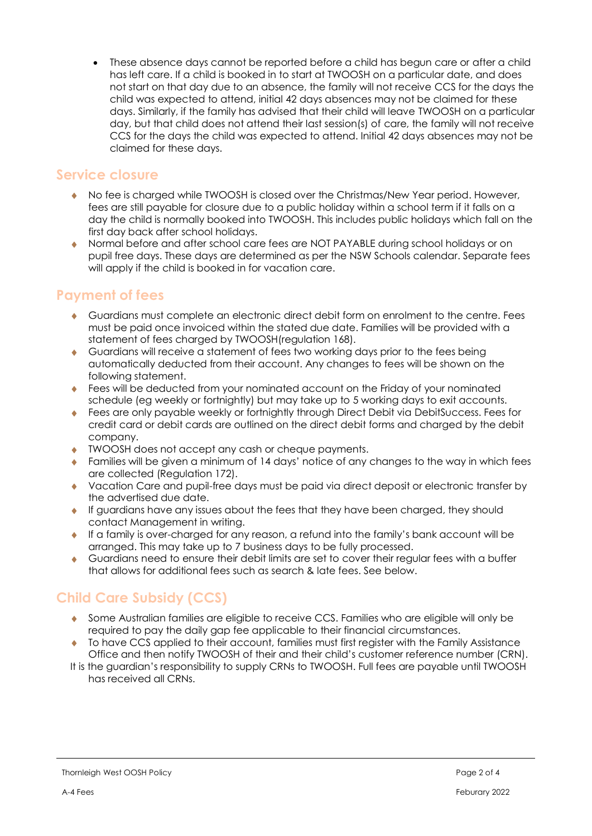• These absence days cannot be reported before a child has begun care or after a child has left care. If a child is booked in to start at TWOOSH on a particular date, and does not start on that day due to an absence, the family will not receive CCS for the days the child was expected to attend, initial 42 days absences may not be claimed for these days. Similarly, if the family has advised that their child will leave TWOOSH on a particular day, but that child does not attend their last session(s) of care, the family will not receive CCS for the days the child was expected to attend. Initial 42 days absences may not be claimed for these days.

#### **Service closure**

- No fee is charged while TWOOSH is closed over the Christmas/New Year period. However, fees are still payable for closure due to a public holiday within a school term if it falls on a day the child is normally booked into TWOOSH. This includes public holidays which fall on the first day back after school holidays.
- Normal before and after school care fees are NOT PAYABLE during school holidays or on pupil free days. These days are determined as per the NSW Schools calendar. Separate fees will apply if the child is booked in for vacation care.

# **Payment of fees**

- Guardians must complete an electronic direct debit form on enrolment to the centre. Fees must be paid once invoiced within the stated due date. Families will be provided with a statement of fees charged by TWOOSH(regulation 168).
- Guardians will receive a statement of fees two working days prior to the fees being automatically deducted from their account. Any changes to fees will be shown on the following statement.
- Fees will be deducted from your nominated account on the Friday of your nominated schedule (eg weekly or fortnightly) but may take up to 5 working days to exit accounts.
- ◆ Fees are only payable weekly or fortnightly through Direct Debit via DebitSuccess. Fees for credit card or debit cards are outlined on the direct debit forms and charged by the debit company.
- TWOOSH does not accept any cash or cheque payments.
- Families will be given a minimum of 14 days' notice of any changes to the way in which fees are collected (Regulation 172).
- Vacation Care and pupil-free days must be paid via direct deposit or electronic transfer by the advertised due date.
- If guardians have any issues about the fees that they have been charged, they should contact Management in writing.
- If a family is over-charged for any reason, a refund into the family's bank account will be arranged. This may take up to 7 business days to be fully processed.
- Guardians need to ensure their debit limits are set to cover their regular fees with a buffer that allows for additional fees such as search & late fees. See below.

# **Child Care Subsidy (CCS)**

- Some Australian families are eligible to receive CCS. Families who are eligible will only be required to pay the daily gap fee applicable to their financial circumstances.
- To have CCS applied to their account, families must first register with the Family Assistance Office and then notify TWOOSH of their and their child's customer reference number (CRN).
- It is the guardian's responsibility to supply CRNs to TWOOSH. Full fees are payable until TWOOSH has received all CRNs.

Thornleigh West OOSH Policy **Page 2 of 4**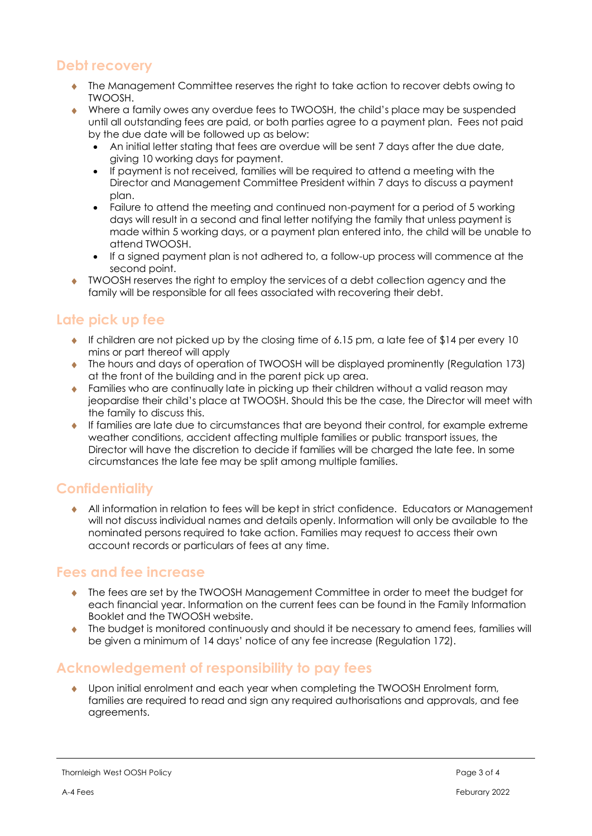# **Debt recovery**

- The Management Committee reserves the right to take action to recover debts owing to TWOOSH.
- Where a family owes any overdue fees to TWOOSH, the child's place may be suspended until all outstanding fees are paid, or both parties agree to a payment plan. Fees not paid by the due date will be followed up as below:
	- An initial letter stating that fees are overdue will be sent 7 days after the due date, giving 10 working days for payment.
	- If payment is not received, families will be required to attend a meeting with the Director and Management Committee President within 7 days to discuss a payment plan.
	- Failure to attend the meeting and continued non-payment for a period of 5 working days will result in a second and final letter notifying the family that unless payment is made within 5 working days, or a payment plan entered into, the child will be unable to attend TWOOSH.
	- If a signed payment plan is not adhered to, a follow-up process will commence at the second point.
- TWOOSH reserves the right to employ the services of a debt collection agency and the family will be responsible for all fees associated with recovering their debt.

# **Late pick up fee**

- If children are not picked up by the closing time of 6.15 pm, a late fee of \$14 per every 10 mins or part thereof will apply
- The hours and days of operation of TWOOSH will be displayed prominently (Regulation 173) at the front of the building and in the parent pick up area.
- ◆ Families who are continually late in picking up their children without a valid reason may jeopardise their child's place at TWOOSH. Should this be the case, the Director will meet with the family to discuss this.
- If families are late due to circumstances that are beyond their control, for example extreme weather conditions, accident affecting multiple families or public transport issues, the Director will have the discretion to decide if families will be charged the late fee. In some circumstances the late fee may be split among multiple families.

### **Confidentiality**

 All information in relation to fees will be kept in strict confidence. Educators or Management will not discuss individual names and details openly. Information will only be available to the nominated persons required to take action. Families may request to access their own account records or particulars of fees at any time.

#### **Fees and fee increase**

- The fees are set by the TWOOSH Management Committee in order to meet the budget for each financial year. Information on the current fees can be found in the Family Information Booklet and the TWOOSH website.
- $\bullet$  The budget is monitored continuously and should it be necessary to amend fees, families will be given a minimum of 14 days' notice of any fee increase (Regulation 172).

# **Acknowledgement of responsibility to pay fees**

 Upon initial enrolment and each year when completing the TWOOSH Enrolment form, families are required to read and sign any required authorisations and approvals, and fee agreements.